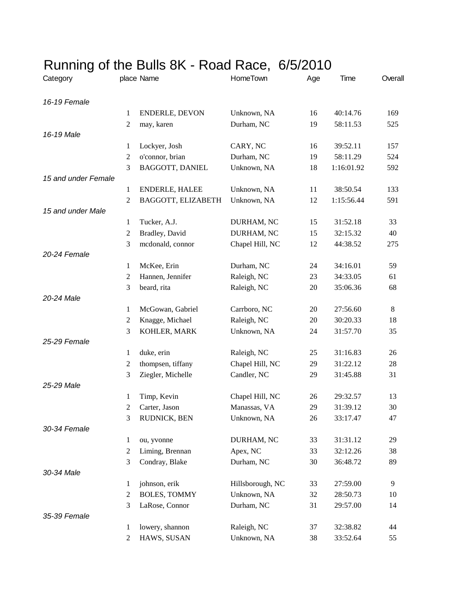| Running of the Bulls 8K - Road Race, 6/5/2010 |                     |                       |                  |     |                      |         |
|-----------------------------------------------|---------------------|-----------------------|------------------|-----|----------------------|---------|
| Category                                      |                     | place Name            | HomeTown         | Age | Time                 | Overall |
| 16-19 Female                                  |                     |                       |                  |     |                      |         |
|                                               | $\mathbf{1}$        | ENDERLE, DEVON        | Unknown, NA      | 16  | 40:14.76             | 169     |
|                                               | 2                   | may, karen            | Durham, NC       | 19  | 58:11.53             | 525     |
| 16-19 Male                                    |                     |                       |                  |     |                      |         |
|                                               | 1                   | Lockyer, Josh         | CARY, NC         | 16  | 39:52.11             | 157     |
|                                               | $\sqrt{2}$          | o'connor, brian       | Durham, NC       | 19  | 58:11.29             | 524     |
|                                               | 3                   | BAGGOTT, DANIEL       | Unknown, NA      | 18  | 1:16:01.92           | 592     |
| 15 and under Female                           |                     |                       |                  |     |                      |         |
|                                               | 1                   | <b>ENDERLE, HALEE</b> | Unknown, NA      | 11  | 38:50.54             | 133     |
|                                               | $\overline{2}$      | BAGGOTT, ELIZABETH    | Unknown, NA      | 12  | 1:15:56.44           | 591     |
| 15 and under Male                             |                     |                       |                  |     |                      |         |
|                                               | 1                   | Tucker, A.J.          | DURHAM, NC       | 15  | 31:52.18             | 33      |
|                                               | $\sqrt{2}$          | Bradley, David        | DURHAM, NC       | 15  | 32:15.32             | 40      |
|                                               | 3                   | mcdonald, connor      | Chapel Hill, NC  | 12  | 44:38.52             | 275     |
| 20-24 Female                                  |                     |                       |                  |     |                      |         |
|                                               | 1                   | McKee, Erin           | Durham, NC       | 24  | 34:16.01             | 59      |
|                                               | $\overline{2}$      | Hannen, Jennifer      | Raleigh, NC      | 23  | 34:33.05             | 61      |
|                                               | 3                   | beard, rita           | Raleigh, NC      | 20  | 35:06.36             | 68      |
| 20-24 Male                                    |                     |                       |                  |     |                      |         |
|                                               | 1<br>$\overline{c}$ | McGowan, Gabriel      | Carrboro, NC     | 20  | 27:56.60<br>30:20.33 | 8       |
|                                               |                     | Knagge, Michael       | Raleigh, NC      | 20  | 31:57.70             | 18      |
| 25-29 Female                                  | 3                   | KOHLER, MARK          | Unknown, NA      | 24  |                      | 35      |
|                                               | 1                   | duke, erin            | Raleigh, NC      | 25  | 31:16.83             | 26      |
|                                               | $\overline{2}$      | thompsen, tiffany     | Chapel Hill, NC  | 29  | 31:22.12             | 28      |
|                                               | 3                   | Ziegler, Michelle     | Candler, NC      | 29  | 31:45.88             | 31      |
| 25-29 Male                                    |                     |                       |                  |     |                      |         |
|                                               | $\mathbf{1}$        | Timp, Kevin           | Chapel Hill, NC  | 26  | 29:32.57             | 13      |
|                                               | 2                   | Carter, Jason         | Manassas, VA     | 29  | 31:39.12             | 30      |
|                                               | 3                   | RUDNICK, BEN          | Unknown, NA      | 26  | 33:17.47             | 47      |
| 30-34 Female                                  |                     |                       |                  |     |                      |         |
|                                               | 1                   | ou, yvonne            | DURHAM, NC       | 33  | 31:31.12             | 29      |
|                                               | $\overline{2}$      | Liming, Brennan       | Apex, NC         | 33  | 32:12.26             | 38      |
|                                               | 3                   | Condray, Blake        | Durham, NC       | 30  | 36:48.72             | 89      |
| 30-34 Male                                    |                     |                       |                  |     |                      |         |
|                                               | 1                   | johnson, erik         | Hillsborough, NC | 33  | 27:59.00             | 9       |
|                                               | $\overline{2}$      | <b>BOLES, TOMMY</b>   | Unknown, NA      | 32  | 28:50.73             | 10      |
|                                               | 3                   | LaRose, Connor        | Durham, NC       | 31  | 29:57.00             | 14      |
| 35-39 Female                                  |                     |                       |                  |     |                      |         |
|                                               | 1                   | lowery, shannon       | Raleigh, NC      | 37  | 32:38.82             | 44      |
|                                               | $\overline{c}$      | HAWS, SUSAN           | Unknown, NA      | 38  | 33:52.64             | 55      |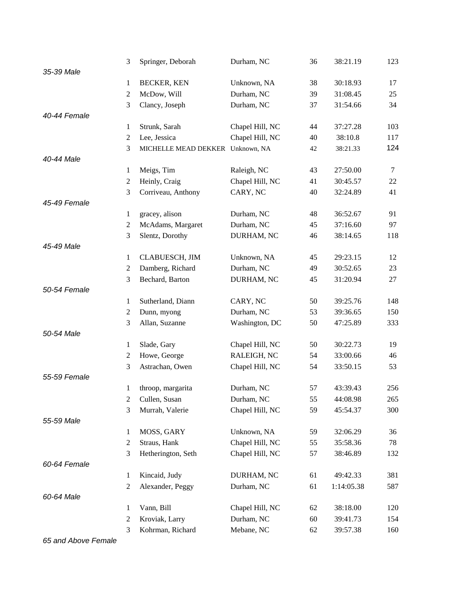|              | 3                | Springer, Deborah                | Durham, NC      | 36 | 38:21.19   | 123    |
|--------------|------------------|----------------------------------|-----------------|----|------------|--------|
| 35-39 Male   |                  |                                  |                 |    |            |        |
|              | 1                | <b>BECKER, KEN</b>               | Unknown, NA     | 38 | 30:18.93   | 17     |
|              | $\mathfrak{2}$   | McDow, Will                      | Durham, NC      | 39 | 31:08.45   | 25     |
|              | 3                | Clancy, Joseph                   | Durham, NC      | 37 | 31:54.66   | 34     |
| 40-44 Female |                  |                                  |                 |    |            |        |
|              | 1                | Strunk, Sarah                    | Chapel Hill, NC | 44 | 37:27.28   | 103    |
|              | $\sqrt{2}$       | Lee, Jessica                     | Chapel Hill, NC | 40 | 38:10.8    | 117    |
|              | 3                | MICHELLE MEAD DEKKER Unknown, NA |                 | 42 | 38:21.33   | 124    |
| 40-44 Male   |                  |                                  |                 |    |            |        |
|              | $\mathbf{1}$     | Meigs, Tim                       | Raleigh, NC     | 43 | 27:50.00   | $\tau$ |
|              | $\mathfrak{2}$   | Heinly, Craig                    | Chapel Hill, NC | 41 | 30:45.57   | 22     |
|              | 3                | Corriveau, Anthony               | CARY, NC        | 40 | 32:24.89   | 41     |
| 45-49 Female |                  |                                  |                 |    |            |        |
|              | $\mathbf{1}$     | gracey, alison                   | Durham, NC      | 48 | 36:52.67   | 91     |
|              | $\mathfrak{2}$   | McAdams, Margaret                | Durham, NC      | 45 | 37:16.60   | 97     |
|              | 3                | Slentz, Dorothy                  | DURHAM, NC      | 46 | 38:14.65   | 118    |
| 45-49 Male   |                  |                                  |                 |    |            |        |
|              | $\mathbf{1}$     | CLABUESCH, JIM                   | Unknown, NA     | 45 | 29:23.15   | 12     |
|              | $\boldsymbol{2}$ | Damberg, Richard                 | Durham, NC      | 49 | 30:52.65   | 23     |
|              | 3                | Bechard, Barton                  | DURHAM, NC      | 45 | 31:20.94   | 27     |
| 50-54 Female |                  |                                  |                 |    |            |        |
|              | 1                | Sutherland, Diann                | CARY, NC        | 50 | 39:25.76   | 148    |
|              | $\sqrt{2}$       | Dunn, myong                      | Durham, NC      | 53 | 39:36.65   | 150    |
|              | 3                | Allan, Suzanne                   | Washington, DC  | 50 | 47:25.89   | 333    |
| 50-54 Male   |                  |                                  |                 |    |            |        |
|              | $\mathbf{1}$     | Slade, Gary                      | Chapel Hill, NC | 50 | 30:22.73   | 19     |
|              | $\overline{2}$   | Howe, George                     | RALEIGH, NC     | 54 | 33:00.66   | 46     |
|              | 3                | Astrachan, Owen                  | Chapel Hill, NC | 54 | 33:50.15   | 53     |
| 55-59 Female |                  |                                  |                 |    |            |        |
|              | 1                | throop, margarita                | Durham, NC      | 57 | 43:39.43   | 256    |
|              | $\overline{c}$   | Cullen, Susan                    | Durham, NC      | 55 | 44:08.98   | 265    |
|              | 3                | Murrah, Valerie                  | Chapel Hill, NC | 59 | 45:54.37   | 300    |
| 55-59 Male   |                  |                                  |                 |    |            |        |
|              | 1                | MOSS, GARY                       | Unknown, NA     | 59 | 32:06.29   | 36     |
|              | 2                | Straus, Hank                     | Chapel Hill, NC | 55 | 35:58.36   | 78     |
|              | 3                | Hetherington, Seth               | Chapel Hill, NC | 57 | 38:46.89   | 132    |
| 60-64 Female |                  |                                  |                 |    |            |        |
|              | $\mathbf{1}$     | Kincaid, Judy                    | DURHAM, NC      | 61 | 49:42.33   | 381    |
|              | $\mathbf{2}$     | Alexander, Peggy                 | Durham, NC      | 61 | 1:14:05.38 | 587    |
| 60-64 Male   |                  |                                  |                 |    |            |        |
|              | $\mathbf{1}$     | Vann, Bill                       | Chapel Hill, NC | 62 | 38:18.00   | 120    |
|              | $\overline{c}$   | Kroviak, Larry                   | Durham, NC      | 60 | 39:41.73   | 154    |
|              | 3                | Kohrman, Richard                 | Mebane, NC      | 62 | 39:57.38   | 160    |

*65 and Above Female*